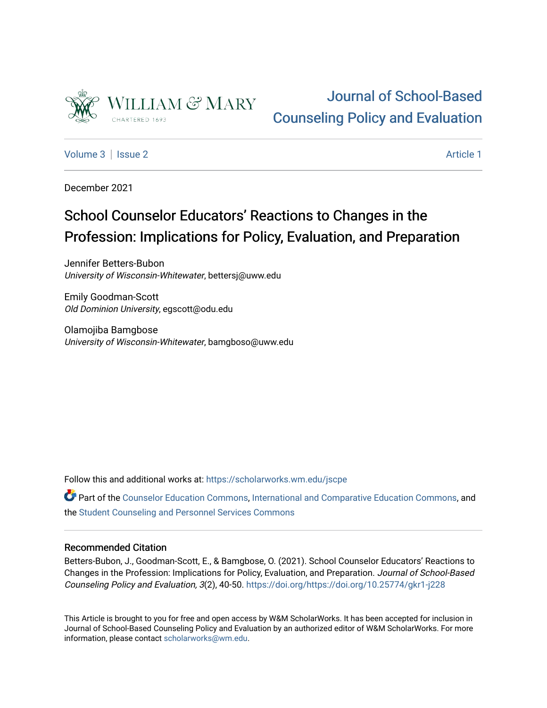

# [Journal of School-Based](https://scholarworks.wm.edu/jscpe)  [Counseling Policy and Evaluation](https://scholarworks.wm.edu/jscpe)

[Volume 3](https://scholarworks.wm.edu/jscpe/vol3) | [Issue 2](https://scholarworks.wm.edu/jscpe/vol3/iss2) Article 1

December 2021

# School Counselor Educators' Reactions to Changes in the Profession: Implications for Policy, Evaluation, and Preparation

Jennifer Betters-Bubon University of Wisconsin-Whitewater, bettersj@uww.edu

Emily Goodman-Scott Old Dominion University, egscott@odu.edu

Olamojiba Bamgbose University of Wisconsin-Whitewater, bamgboso@uww.edu

Follow this and additional works at: [https://scholarworks.wm.edu/jscpe](https://scholarworks.wm.edu/jscpe?utm_source=scholarworks.wm.edu%2Fjscpe%2Fvol3%2Fiss2%2F1&utm_medium=PDF&utm_campaign=PDFCoverPages) 

Part of the [Counselor Education Commons,](http://network.bepress.com/hgg/discipline/1278?utm_source=scholarworks.wm.edu%2Fjscpe%2Fvol3%2Fiss2%2F1&utm_medium=PDF&utm_campaign=PDFCoverPages) [International and Comparative Education Commons,](http://network.bepress.com/hgg/discipline/797?utm_source=scholarworks.wm.edu%2Fjscpe%2Fvol3%2Fiss2%2F1&utm_medium=PDF&utm_campaign=PDFCoverPages) and the [Student Counseling and Personnel Services Commons](http://network.bepress.com/hgg/discipline/802?utm_source=scholarworks.wm.edu%2Fjscpe%2Fvol3%2Fiss2%2F1&utm_medium=PDF&utm_campaign=PDFCoverPages) 

# Recommended Citation

Betters-Bubon, J., Goodman-Scott, E., & Bamgbose, O. (2021). School Counselor Educators' Reactions to Changes in the Profession: Implications for Policy, Evaluation, and Preparation. Journal of School-Based Counseling Policy and Evaluation, 3(2), 40-50. <https://doi.org/https://doi.org/10.25774/gkr1-j228>

This Article is brought to you for free and open access by W&M ScholarWorks. It has been accepted for inclusion in Journal of School-Based Counseling Policy and Evaluation by an authorized editor of W&M ScholarWorks. For more information, please contact [scholarworks@wm.edu](mailto:scholarworks@wm.edu).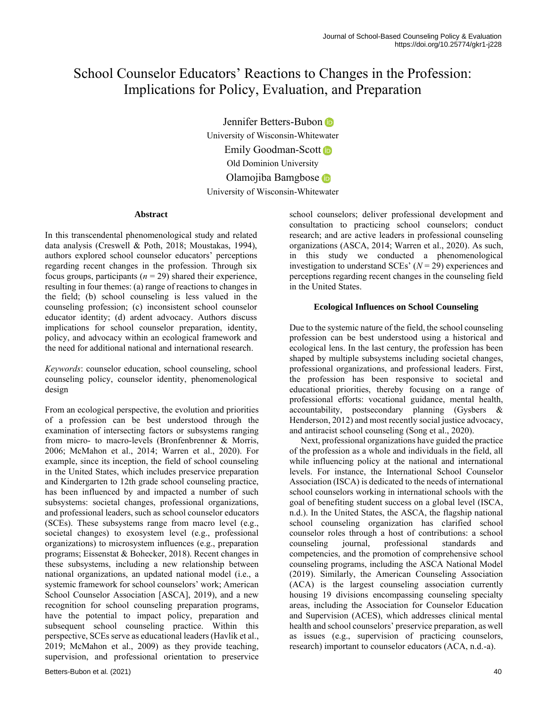# School Counselor Educators' Reactions to Changes in the Profession: Implications for Policy, Evaluation, and Preparation

Jennifer Betters-Bubon University of Wisconsin-Whitewater EmilyGoodman-Scott **D** Old Dominion University Olamojiba Bamgbose University of Wisconsin-Whitewater

### **Abstract**

In this transcendental phenomenological study and related data analysis (Creswell & Poth, 2018; Moustakas, 1994), authors explored school counselor educators' perceptions regarding recent changes in the profession. Through six focus groups, participants  $(n = 29)$  shared their experience, resulting in four themes: (a) range of reactions to changes in the field; (b) school counseling is less valued in the counseling profession; (c) inconsistent school counselor educator identity; (d) ardent advocacy. Authors discuss implications for school counselor preparation, identity, policy, and advocacy within an ecological framework and the need for additional national and international research.

*Keywords*: counselor education, school counseling, school counseling policy, counselor identity, phenomenological design

From an ecological perspective, the evolution and priorities of a profession can be best understood through the examination of intersecting factors or subsystems ranging from micro- to macro-levels (Bronfenbrenner & Morris, 2006; McMahon et al., 2014; Warren et al., 2020). For example, since its inception, the field of school counseling in the United States, which includes preservice preparation and Kindergarten to 12th grade school counseling practice, has been influenced by and impacted a number of such subsystems: societal changes, professional organizations, and professional leaders, such as school counselor educators (SCEs). These subsystems range from macro level (e.g., societal changes) to exosystem level (e.g., professional organizations) to microsystem influences (e.g., preparation programs; Eissenstat & Bohecker, 2018). Recent changes in these subsystems, including a new relationship between national organizations, an updated national model (i.e., a systemic framework for school counselors' work; American School Counselor Association [ASCA], 2019), and a new recognition for school counseling preparation programs, have the potential to impact policy, preparation and subsequent school counseling practice. Within this perspective, SCEs serve as educational leaders (Havlik et al., 2019; McMahon et al., 2009) as they provide teaching, supervision, and professional orientation to preservice school counselors; deliver professional development and consultation to practicing school counselors; conduct research; and are active leaders in professional counseling organizations (ASCA, 2014; Warren et al., 2020). As such, in this study we conducted a phenomenological investigation to understand SCEs' (*N* = 29) experiences and perceptions regarding recent changes in the counseling field in the United States.

# **Ecological Influences on School Counseling**

Due to the systemic nature of the field, the school counseling profession can be best understood using a historical and ecological lens. In the last century, the profession has been shaped by multiple subsystems including societal changes, professional organizations, and professional leaders. First, the profession has been responsive to societal and educational priorities, thereby focusing on a range of professional efforts: vocational guidance, mental health, accountability, postsecondary planning (Gysbers & Henderson, 2012) and most recently social justice advocacy, and antiracist school counseling (Song et al., 2020).

 Next, professional organizations have guided the practice of the profession as a whole and individuals in the field, all while influencing policy at the national and international levels. For instance, the International School Counselor Association (ISCA) is dedicated to the needs of international school counselors working in international schools with the goal of benefiting student success on a global level (ISCA, n.d.). In the United States, the ASCA, the flagship national school counseling organization has clarified school counselor roles through a host of contributions: a school counseling journal, professional standards and competencies, and the promotion of comprehensive school counseling programs, including the ASCA National Model (2019). Similarly, the American Counseling Association (ACA) is the largest counseling association currently housing 19 divisions encompassing counseling specialty areas, including the Association for Counselor Education and Supervision (ACES), which addresses clinical mental health and school counselors' preservice preparation, as well as issues (e.g., supervision of practicing counselors, research) important to counselor educators (ACA, n.d.-a).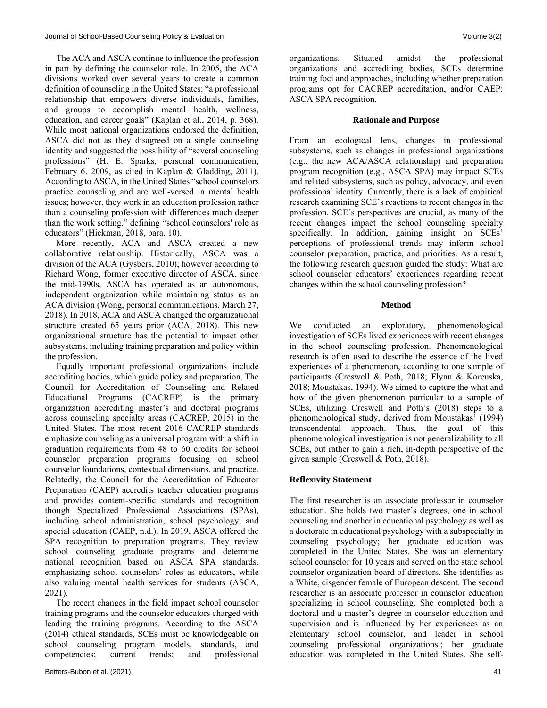The ACA and ASCA continue to influence the profession in part by defining the counselor role. In 2005, the ACA divisions worked over several years to create a common definition of counseling in the United States: "a professional relationship that empowers diverse individuals, families, and groups to accomplish mental health, wellness, education, and career goals" (Kaplan et al., 2014, p. 368). While most national organizations endorsed the definition, ASCA did not as they disagreed on a single counseling identity and suggested the possibility of "several counseling professions" (H. E. Sparks, personal communication, February 6. 2009, as cited in Kaplan & Gladding, 2011). According to ASCA, in the United States "school counselors practice counseling and are well-versed in mental health issues; however, they work in an education profession rather than a counseling profession with differences much deeper than the work setting," defining "school counselors' role as educators" (Hickman, 2018, para. 10).

 More recently, ACA and ASCA created a new collaborative relationship. Historically, ASCA was a division of the ACA (Gysbers, 2010); however according to Richard Wong, former executive director of ASCA, since the mid-1990s, ASCA has operated as an autonomous, independent organization while maintaining status as an ACA division (Wong, personal communications, March 27, 2018). In 2018, ACA and ASCA changed the organizational structure created 65 years prior (ACA, 2018). This new organizational structure has the potential to impact other subsystems, including training preparation and policy within the profession.

 Equally important professional organizations include accrediting bodies, which guide policy and preparation. The Council for Accreditation of Counseling and Related Educational Programs (CACREP) is the primary organization accrediting master's and doctoral programs across counseling specialty areas (CACREP, 2015) in the United States. The most recent 2016 CACREP standards emphasize counseling as a universal program with a shift in graduation requirements from 48 to 60 credits for school counselor preparation programs focusing on school counselor foundations, contextual dimensions, and practice. Relatedly, the Council for the Accreditation of Educator Preparation (CAEP) accredits teacher education programs and provides content-specific standards and recognition though Specialized Professional Associations (SPAs), including school administration, school psychology, and special education (CAEP, n.d.). In 2019, ASCA offered the SPA recognition to preparation programs. They review school counseling graduate programs and determine national recognition based on ASCA SPA standards, emphasizing school counselors' roles as educators, while also valuing mental health services for students (ASCA, 2021).

 The recent changes in the field impact school counselor training programs and the counselor educators charged with leading the training programs. According to the ASCA (2014) ethical standards, SCEs must be knowledgeable on school counseling program models, standards, and competencies; current trends; and professional organizations. Situated amidst the professional organizations and accrediting bodies, SCEs determine training foci and approaches, including whether preparation programs opt for CACREP accreditation, and/or CAEP: ASCA SPA recognition.

#### **Rationale and Purpose**

From an ecological lens, changes in professional subsystems, such as changes in professional organizations (e.g., the new ACA/ASCA relationship) and preparation program recognition (e.g., ASCA SPA) may impact SCEs and related subsystems, such as policy, advocacy, and even professional identity. Currently, there is a lack of empirical research examining SCE's reactions to recent changes in the profession. SCE's perspectives are crucial, as many of the recent changes impact the school counseling specialty specifically. In addition, gaining insight on SCEs' perceptions of professional trends may inform school counselor preparation, practice, and priorities. As a result, the following research question guided the study: What are school counselor educators' experiences regarding recent changes within the school counseling profession?

### **Method**

We conducted an exploratory, phenomenological investigation of SCEs lived experiences with recent changes in the school counseling profession. Phenomenological research is often used to describe the essence of the lived experiences of a phenomenon, according to one sample of participants (Creswell & Poth, 2018; Flynn & Korcuska, 2018; Moustakas, 1994). We aimed to capture the what and how of the given phenomenon particular to a sample of SCEs, utilizing Creswell and Poth's (2018) steps to a phenomenological study, derived from Moustakas' (1994) transcendental approach. Thus, the goal of this phenomenological investigation is not generalizability to all SCEs, but rather to gain a rich, in-depth perspective of the given sample (Creswell & Poth, 2018).

# **Reflexivity Statement**

The first researcher is an associate professor in counselor education. She holds two master's degrees, one in school counseling and another in educational psychology as well as a doctorate in educational psychology with a subspecialty in counseling psychology; her graduate education was completed in the United States. She was an elementary school counselor for 10 years and served on the state school counselor organization board of directors. She identifies as a White, cisgender female of European descent. The second researcher is an associate professor in counselor education specializing in school counseling. She completed both a doctoral and a master's degree in counselor education and supervision and is influenced by her experiences as an elementary school counselor, and leader in school counseling professional organizations.; her graduate education was completed in the United States. She self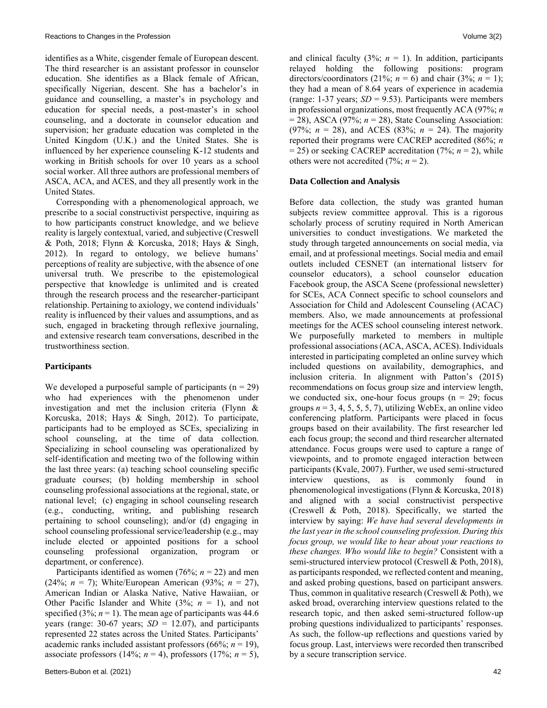identifies as a White, cisgender female of European descent. The third researcher is an assistant professor in counselor education. She identifies as a Black female of African, specifically Nigerian, descent. She has a bachelor's in guidance and counselling, a master's in psychology and education for special needs, a post-master's in school counseling, and a doctorate in counselor education and supervision; her graduate education was completed in the United Kingdom (U.K.) and the United States. She is influenced by her experience counseling K-12 students and working in British schools for over 10 years as a school social worker. All three authors are professional members of ASCA, ACA, and ACES, and they all presently work in the United States.

 Corresponding with a phenomenological approach, we prescribe to a social constructivist perspective, inquiring as to how participants construct knowledge, and we believe reality is largely contextual, varied, and subjective (Creswell & Poth, 2018; Flynn & Korcuska, 2018; Hays & Singh, 2012). In regard to ontology, we believe humans' perceptions of reality are subjective, with the absence of one universal truth. We prescribe to the epistemological perspective that knowledge is unlimited and is created through the research process and the researcher-participant relationship. Pertaining to axiology, we contend individuals' reality is influenced by their values and assumptions, and as such, engaged in bracketing through reflexive journaling, and extensive research team conversations, described in the trustworthiness section.

# **Participants**

We developed a purposeful sample of participants  $(n = 29)$ who had experiences with the phenomenon under investigation and met the inclusion criteria (Flynn & Korcuska, 2018; Hays & Singh, 2012). To participate, participants had to be employed as SCEs, specializing in school counseling, at the time of data collection. Specializing in school counseling was operationalized by self-identification and meeting two of the following within the last three years: (a) teaching school counseling specific graduate courses; (b) holding membership in school counseling professional associations at the regional, state, or national level; (c) engaging in school counseling research (e.g., conducting, writing, and publishing research pertaining to school counseling); and/or (d) engaging in school counseling professional service/leadership (e.g., may include elected or appointed positions for a school counseling professional organization, program or department, or conference).

Participants identified as women  $(76\%; n = 22)$  and men (24%; *n* = 7); White/European American (93%; *n* = 27), American Indian or Alaska Native, Native Hawaiian, or Other Pacific Islander and White  $(3\%; n = 1)$ , and not specified (3%;  $n = 1$ ). The mean age of participants was 44.6 years (range: 30-67 years; *SD* = 12.07), and participants represented 22 states across the United States. Participants' academic ranks included assistant professors (66%; *n* = 19), associate professors (14%;  $n = 4$ ), professors (17%;  $n = 5$ ), and clinical faculty  $(3\%; n = 1)$ . In addition, participants relayed holding the following positions: program directors/coordinators (21%;  $n = 6$ ) and chair (3%;  $n = 1$ ); they had a mean of 8.64 years of experience in academia (range:  $1-37$  years;  $SD = 9.53$ ). Participants were members in professional organizations, most frequently ACA (97%; *n*  $= 28$ ), ASCA (97%;  $n = 28$ ), State Counseling Association: (97%;  $n = 28$ ), and ACES (83%;  $n = 24$ ). The majority reported their programs were CACREP accredited (86%; *n* = 25) or seeking CACREP accreditation (7%; *n* = 2), while others were not accredited  $(7\%; n = 2)$ .

# **Data Collection and Analysis**

Before data collection, the study was granted human subjects review committee approval. This is a rigorous scholarly process of scrutiny required in North American universities to conduct investigations. We marketed the study through targeted announcements on social media, via email, and at professional meetings. Social media and email outlets included CESNET (an international listserv for counselor educators), a school counselor education Facebook group, the ASCA Scene (professional newsletter) for SCEs, ACA Connect specific to school counselors and Association for Child and Adolescent Counseling (ACAC) members. Also, we made announcements at professional meetings for the ACES school counseling interest network. We purposefully marketed to members in multiple professional associations (ACA, ASCA, ACES). Individuals interested in participating completed an online survey which included questions on availability, demographics, and inclusion criteria. In alignment with Patton's (2015) recommendations on focus group size and interview length, we conducted six, one-hour focus groups ( $n = 29$ ; focus groups  $n = 3, 4, 5, 5, 5, 7$ , utilizing WebEx, an online video conferencing platform. Participants were placed in focus groups based on their availability. The first researcher led each focus group; the second and third researcher alternated attendance. Focus groups were used to capture a range of viewpoints, and to promote engaged interaction between participants (Kvale, 2007). Further, we used semi-structured interview questions, as is commonly found in phenomenological investigations (Flynn & Korcuska, 2018) and aligned with a social constructivist perspective (Creswell & Poth, 2018). Specifically, we started the interview by saying: *We have had several developments in the last year in the school counseling profession. During this focus group, we would like to hear about your reactions to these changes. Who would like to begin?* Consistent with a semi-structured interview protocol (Creswell & Poth, 2018), as participants responded, we reflected content and meaning, and asked probing questions, based on participant answers. Thus, common in qualitative research (Creswell & Poth), we asked broad, overarching interview questions related to the research topic, and then asked semi-structured follow-up probing questions individualized to participants' responses. As such, the follow-up reflections and questions varied by focus group. Last, interviews were recorded then transcribed by a secure transcription service.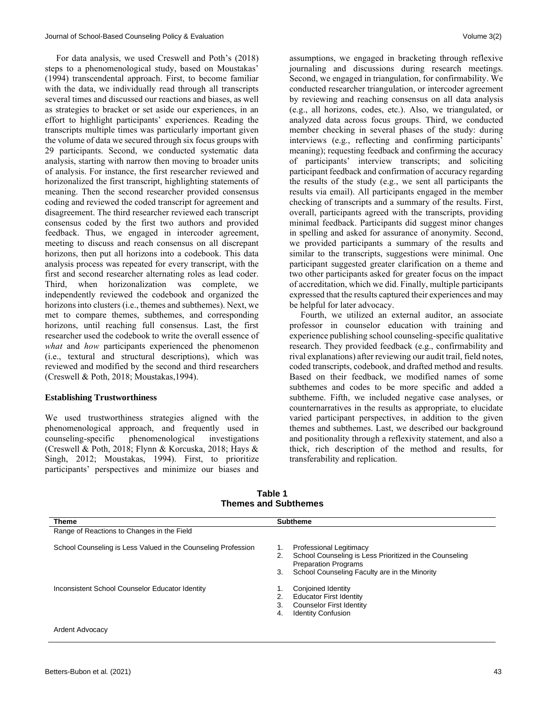For data analysis, we used Creswell and Poth's (2018) steps to a phenomenological study, based on Moustakas' (1994) transcendental approach. First, to become familiar with the data, we individually read through all transcripts several times and discussed our reactions and biases, as well as strategies to bracket or set aside our experiences, in an effort to highlight participants' experiences. Reading the transcripts multiple times was particularly important given the volume of data we secured through six focus groups with 29 participants. Second, we conducted systematic data analysis, starting with narrow then moving to broader units of analysis. For instance, the first researcher reviewed and horizonalized the first transcript, highlighting statements of meaning. Then the second researcher provided consensus coding and reviewed the coded transcript for agreement and disagreement. The third researcher reviewed each transcript consensus coded by the first two authors and provided feedback. Thus, we engaged in intercoder agreement, meeting to discuss and reach consensus on all discrepant horizons, then put all horizons into a codebook. This data analysis process was repeated for every transcript, with the first and second researcher alternating roles as lead coder. Third, when horizonalization was complete, we independently reviewed the codebook and organized the horizons into clusters (i.e., themes and subthemes). Next, we met to compare themes, subthemes, and corresponding horizons, until reaching full consensus. Last, the first researcher used the codebook to write the overall essence of *what* and *how* participants experienced the phenomenon (i.e., textural and structural descriptions), which was reviewed and modified by the second and third researchers (Creswell & Poth, 2018; Moustakas,1994).

## **Establishing Trustworthiness**

We used trustworthiness strategies aligned with the phenomenological approach, and frequently used in counseling-specific phenomenological investigations (Creswell & Poth, 2018; Flynn & Korcuska, 2018; Hays & Singh, 2012; Moustakas, 1994). First, to prioritize participants' perspectives and minimize our biases and

assumptions, we engaged in bracketing through reflexive journaling and discussions during research meetings. Second, we engaged in triangulation, for confirmability. We conducted researcher triangulation, or intercoder agreement by reviewing and reaching consensus on all data analysis (e.g., all horizons, codes, etc.). Also, we triangulated, or analyzed data across focus groups. Third, we conducted member checking in several phases of the study: during interviews (e.g., reflecting and confirming participants' meaning); requesting feedback and confirming the accuracy of participants' interview transcripts; and soliciting participant feedback and confirmation of accuracy regarding the results of the study (e.g., we sent all participants the results via email). All participants engaged in the member checking of transcripts and a summary of the results. First, overall, participants agreed with the transcripts, providing minimal feedback. Participants did suggest minor changes in spelling and asked for assurance of anonymity. Second, we provided participants a summary of the results and similar to the transcripts, suggestions were minimal. One participant suggested greater clarification on a theme and two other participants asked for greater focus on the impact of accreditation, which we did. Finally, multiple participants expressed that the results captured their experiences and may be helpful for later advocacy.

 Fourth, we utilized an external auditor, an associate professor in counselor education with training and experience publishing school counseling-specific qualitative research. They provided feedback (e.g., confirmability and rival explanations) after reviewing our audit trail, field notes, coded transcripts, codebook, and drafted method and results. Based on their feedback, we modified names of some subthemes and codes to be more specific and added a subtheme. Fifth, we included negative case analyses, or counternarratives in the results as appropriate, to elucidate varied participant perspectives, in addition to the given themes and subthemes. Last, we described our background and positionality through a reflexivity statement, and also a thick, rich description of the method and results, for transferability and replication.

| <b>Theme</b>                                                  | <b>Subtheme</b>                                                                                       |
|---------------------------------------------------------------|-------------------------------------------------------------------------------------------------------|
| Range of Reactions to Changes in the Field                    |                                                                                                       |
| School Counseling is Less Valued in the Counseling Profession | <b>Professional Legitimacy</b><br>1.<br>School Counseling is Less Prioritized in the Counseling<br>2. |
|                                                               | <b>Preparation Programs</b>                                                                           |
|                                                               | School Counseling Faculty are in the Minority<br>3.                                                   |
| Inconsistent School Counselor Educator Identity               | Conjoined Identity<br>1.                                                                              |
|                                                               | <b>Educator First Identity</b><br>2.                                                                  |
|                                                               | <b>Counselor First Identity</b><br>3.                                                                 |
|                                                               | <b>Identity Confusion</b><br>4.                                                                       |
| Ardent Advocacy                                               |                                                                                                       |

**Table 1 Themes and Subthemes**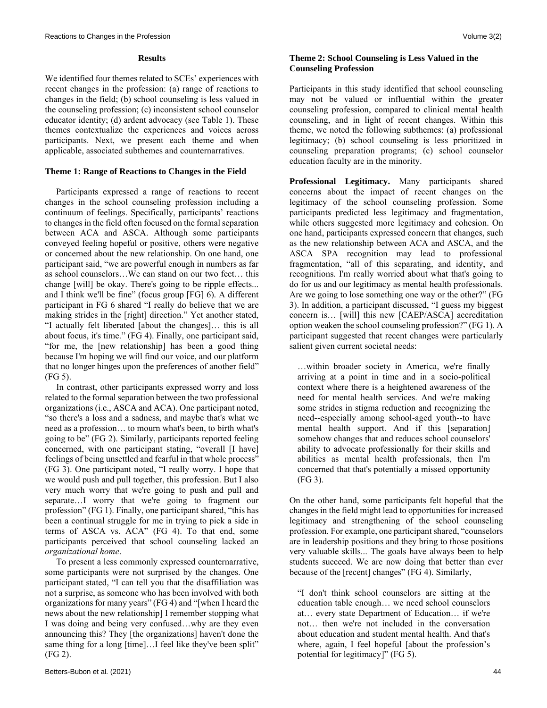#### **Results**

We identified four themes related to SCEs' experiences with recent changes in the profession: (a) range of reactions to changes in the field; (b) school counseling is less valued in the counseling profession; (c) inconsistent school counselor educator identity; (d) ardent advocacy (see Table 1). These themes contextualize the experiences and voices across participants. Next, we present each theme and when applicable, associated subthemes and counternarratives.

#### **Theme 1: Range of Reactions to Changes in the Field**

 Participants expressed a range of reactions to recent changes in the school counseling profession including a continuum of feelings. Specifically, participants' reactions to changes in the field often focused on the formal separation between ACA and ASCA. Although some participants conveyed feeling hopeful or positive, others were negative or concerned about the new relationship. On one hand, one participant said, "we are powerful enough in numbers as far as school counselors…We can stand on our two feet… this change [will] be okay. There's going to be ripple effects... and I think we'll be fine" (focus group [FG] 6). A different participant in FG 6 shared "I really do believe that we are making strides in the [right] direction." Yet another stated, "I actually felt liberated [about the changes]… this is all about focus, it's time." (FG 4). Finally, one participant said, "for me, the [new relationship] has been a good thing because I'm hoping we will find our voice, and our platform that no longer hinges upon the preferences of another field" (FG 5).

 In contrast, other participants expressed worry and loss related to the formal separation between the two professional organizations (i.e., ASCA and ACA). One participant noted, "so there's a loss and a sadness, and maybe that's what we need as a profession… to mourn what's been, to birth what's going to be" (FG 2). Similarly, participants reported feeling concerned, with one participant stating, "overall [I have] feelings of being unsettled and fearful in that whole process" (FG 3). One participant noted, "I really worry. I hope that we would push and pull together, this profession. But I also very much worry that we're going to push and pull and separate…I worry that we're going to fragment our profession" (FG 1). Finally, one participant shared, "this has been a continual struggle for me in trying to pick a side in terms of ASCA vs. ACA" (FG 4). To that end, some participants perceived that school counseling lacked an *organizational home*.

 To present a less commonly expressed counternarrative, some participants were not surprised by the changes. One participant stated, "I can tell you that the disaffiliation was not a surprise, as someone who has been involved with both organizations for many years" (FG 4) and "[when I heard the news about the new relationship] I remember stopping what I was doing and being very confused…why are they even announcing this? They [the organizations] haven't done the same thing for a long [time]...I feel like they've been split" (FG 2).

# **Theme 2: School Counseling is Less Valued in the Counseling Profession**

Participants in this study identified that school counseling may not be valued or influential within the greater counseling profession, compared to clinical mental health counseling, and in light of recent changes. Within this theme, we noted the following subthemes: (a) professional legitimacy; (b) school counseling is less prioritized in counseling preparation programs; (c) school counselor education faculty are in the minority.

**Professional Legitimacy.** Many participants shared concerns about the impact of recent changes on the legitimacy of the school counseling profession. Some participants predicted less legitimacy and fragmentation, while others suggested more legitimacy and cohesion. On one hand, participants expressed concern that changes, such as the new relationship between ACA and ASCA, and the ASCA SPA recognition may lead to professional fragmentation, "all of this separating, and identity, and recognitions. I'm really worried about what that's going to do for us and our legitimacy as mental health professionals. Are we going to lose something one way or the other?" (FG 3). In addition, a participant discussed, "I guess my biggest concern is… [will] this new [CAEP/ASCA] accreditation option weaken the school counseling profession?" (FG 1). A participant suggested that recent changes were particularly salient given current societal needs:

…within broader society in America, we're finally arriving at a point in time and in a socio-political context where there is a heightened awareness of the need for mental health services. And we're making some strides in stigma reduction and recognizing the need--especially among school-aged youth--to have mental health support. And if this [separation] somehow changes that and reduces school counselors' ability to advocate professionally for their skills and abilities as mental health professionals, then I'm concerned that that's potentially a missed opportunity (FG 3).

On the other hand, some participants felt hopeful that the changes in the field might lead to opportunities for increased legitimacy and strengthening of the school counseling profession. For example, one participant shared, "counselors are in leadership positions and they bring to those positions very valuable skills... The goals have always been to help students succeed. We are now doing that better than ever because of the [recent] changes" (FG 4). Similarly,

"I don't think school counselors are sitting at the education table enough… we need school counselors at… every state Department of Education… if we're not… then we're not included in the conversation about education and student mental health. And that's where, again, I feel hopeful [about the profession's potential for legitimacy]" (FG 5).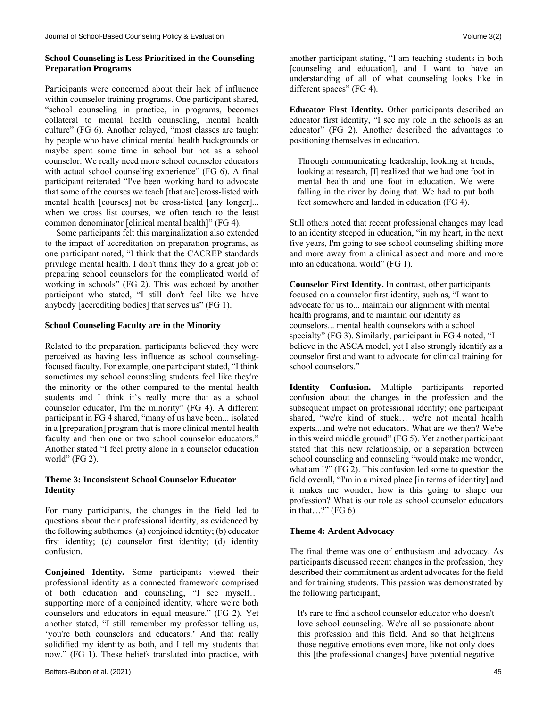# **School Counseling is Less Prioritized in the Counseling Preparation Programs**

Participants were concerned about their lack of influence within counselor training programs. One participant shared, "school counseling in practice, in programs, becomes collateral to mental health counseling, mental health culture" (FG 6). Another relayed, "most classes are taught by people who have clinical mental health backgrounds or maybe spent some time in school but not as a school counselor. We really need more school counselor educators with actual school counseling experience" (FG 6). A final participant reiterated "I've been working hard to advocate that some of the courses we teach [that are] cross-listed with mental health [courses] not be cross-listed [any longer]... when we cross list courses, we often teach to the least common denominator [clinical mental health]" (FG 4).

 Some participants felt this marginalization also extended to the impact of accreditation on preparation programs, as one participant noted, "I think that the CACREP standards privilege mental health. I don't think they do a great job of preparing school counselors for the complicated world of working in schools" (FG 2). This was echoed by another participant who stated, "I still don't feel like we have anybody [accrediting bodies] that serves us" (FG 1).

#### **School Counseling Faculty are in the Minority**

Related to the preparation, participants believed they were perceived as having less influence as school counselingfocused faculty. For example, one participant stated, "I think sometimes my school counseling students feel like they're the minority or the other compared to the mental health students and I think it's really more that as a school counselor educator, I'm the minority" (FG 4). A different participant in FG 4 shared, "many of us have been... isolated in a [preparation] program that is more clinical mental health faculty and then one or two school counselor educators." Another stated "I feel pretty alone in a counselor education world" (FG 2).

### **Theme 3: Inconsistent School Counselor Educator Identity**

For many participants, the changes in the field led to questions about their professional identity, as evidenced by the following subthemes: (a) conjoined identity; (b) educator first identity; (c) counselor first identity; (d) identity confusion.

**Conjoined Identity***.* Some participants viewed their professional identity as a connected framework comprised of both education and counseling, "I see myself… supporting more of a conjoined identity, where we're both counselors and educators in equal measure." (FG 2). Yet another stated, "I still remember my professor telling us, 'you're both counselors and educators.' And that really solidified my identity as both, and I tell my students that now." (FG 1). These beliefs translated into practice, with

another participant stating, "I am teaching students in both [counseling and education], and I want to have an understanding of all of what counseling looks like in different spaces" (FG 4).

**Educator First Identity.** Other participants described an educator first identity, "I see my role in the schools as an educator" (FG 2). Another described the advantages to positioning themselves in education,

Through communicating leadership, looking at trends, looking at research, [I] realized that we had one foot in mental health and one foot in education. We were falling in the river by doing that. We had to put both feet somewhere and landed in education (FG 4).

Still others noted that recent professional changes may lead to an identity steeped in education, "in my heart, in the next five years, I'm going to see school counseling shifting more and more away from a clinical aspect and more and more into an educational world" (FG 1).

**Counselor First Identity.** In contrast, other participants focused on a counselor first identity, such as, "I want to advocate for us to... maintain our alignment with mental health programs, and to maintain our identity as counselors... mental health counselors with a school specialty" (FG 3). Similarly, participant in FG 4 noted, "I believe in the ASCA model, yet I also strongly identify as a counselor first and want to advocate for clinical training for school counselors."

**Identity Confusion.** Multiple participants reported confusion about the changes in the profession and the subsequent impact on professional identity; one participant shared, "we're kind of stuck… we're not mental health experts...and we're not educators. What are we then? We're in this weird middle ground" (FG 5). Yet another participant stated that this new relationship, or a separation between school counseling and counseling "would make me wonder, what am I?" (FG 2). This confusion led some to question the field overall, "I'm in a mixed place [in terms of identity] and it makes me wonder, how is this going to shape our profession? What is our role as school counselor educators in that...?" (FG  $6$ )

### **Theme 4: Ardent Advocacy**

The final theme was one of enthusiasm and advocacy. As participants discussed recent changes in the profession, they described their commitment as ardent advocates for the field and for training students. This passion was demonstrated by the following participant,

It's rare to find a school counselor educator who doesn't love school counseling. We're all so passionate about this profession and this field. And so that heightens those negative emotions even more, like not only does this [the professional changes] have potential negative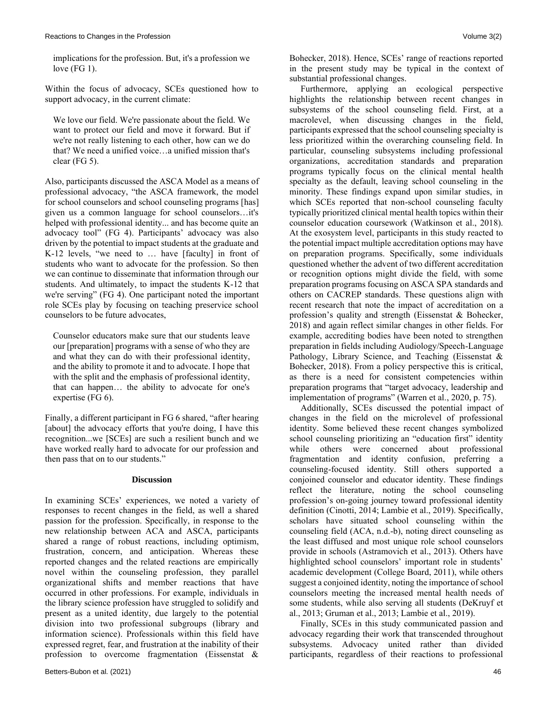implications for the profession. But, it's a profession we love (FG 1).

Within the focus of advocacy, SCEs questioned how to support advocacy, in the current climate:

We love our field. We're passionate about the field. We want to protect our field and move it forward. But if we're not really listening to each other, how can we do that? We need a unified voice…a unified mission that's clear (FG 5).

Also, participants discussed the ASCA Model as a means of professional advocacy, "the ASCA framework, the model for school counselors and school counseling programs [has] given us a common language for school counselors…it's helped with professional identity... and has become quite an advocacy tool" (FG 4). Participants' advocacy was also driven by the potential to impact students at the graduate and K-12 levels, "we need to … have [faculty] in front of students who want to advocate for the profession. So then we can continue to disseminate that information through our students. And ultimately, to impact the students K-12 that we're serving" (FG 4). One participant noted the important role SCEs play by focusing on teaching preservice school counselors to be future advocates,

Counselor educators make sure that our students leave our [preparation] programs with a sense of who they are and what they can do with their professional identity, and the ability to promote it and to advocate. I hope that with the split and the emphasis of professional identity, that can happen… the ability to advocate for one's expertise (FG 6).

Finally, a different participant in FG 6 shared, "after hearing [about] the advocacy efforts that you're doing, I have this recognition...we [SCEs] are such a resilient bunch and we have worked really hard to advocate for our profession and then pass that on to our students."

### **Discussion**

In examining SCEs' experiences, we noted a variety of responses to recent changes in the field, as well a shared passion for the profession. Specifically, in response to the new relationship between ACA and ASCA, participants shared a range of robust reactions, including optimism, frustration, concern, and anticipation. Whereas these reported changes and the related reactions are empirically novel within the counseling profession, they parallel organizational shifts and member reactions that have occurred in other professions. For example, individuals in the library science profession have struggled to solidify and present as a united identity, due largely to the potential division into two professional subgroups (library and information science). Professionals within this field have expressed regret, fear, and frustration at the inability of their profession to overcome fragmentation (Eissenstat & Bohecker, 2018). Hence, SCEs' range of reactions reported in the present study may be typical in the context of substantial professional changes.

 Furthermore, applying an ecological perspective highlights the relationship between recent changes in subsystems of the school counseling field. First, at a macrolevel, when discussing changes in the field, participants expressed that the school counseling specialty is less prioritized within the overarching counseling field. In particular, counseling subsystems including professional organizations, accreditation standards and preparation programs typically focus on the clinical mental health specialty as the default, leaving school counseling in the minority. These findings expand upon similar studies, in which SCEs reported that non-school counseling faculty typically prioritized clinical mental health topics within their counselor education coursework (Watkinson et al., 2018). At the exosystem level, participants in this study reacted to the potential impact multiple accreditation options may have on preparation programs. Specifically, some individuals questioned whether the advent of two different accreditation or recognition options might divide the field, with some preparation programs focusing on ASCA SPA standards and others on CACREP standards. These questions align with recent research that note the impact of accreditation on a profession's quality and strength (Eissenstat & Bohecker, 2018) and again reflect similar changes in other fields. For example, accrediting bodies have been noted to strengthen preparation in fields including Audiology/Speech-Language Pathology, Library Science, and Teaching (Eissenstat & Bohecker, 2018). From a policy perspective this is critical, as there is a need for consistent competencies within preparation programs that "target advocacy, leadership and implementation of programs" (Warren et al., 2020, p. 75).

 Additionally, SCEs discussed the potential impact of changes in the field on the microlevel of professional identity. Some believed these recent changes symbolized school counseling prioritizing an "education first" identity while others were concerned about professional fragmentation and identity confusion, preferring a counseling-focused identity. Still others supported a conjoined counselor and educator identity. These findings reflect the literature, noting the school counseling profession's on-going journey toward professional identity definition (Cinotti, 2014; Lambie et al., 2019). Specifically, scholars have situated school counseling within the counseling field (ACA, n.d.-b), noting direct counseling as the least diffused and most unique role school counselors provide in schools (Astramovich et al., 2013). Others have highlighted school counselors' important role in students' academic development (College Board, 2011), while others suggest a conjoined identity, noting the importance of school counselors meeting the increased mental health needs of some students, while also serving all students (DeKruyf et al., 2013; Gruman et al., 2013; Lambie et al., 2019).

 Finally, SCEs in this study communicated passion and advocacy regarding their work that transcended throughout subsystems. Advocacy united rather than divided participants, regardless of their reactions to professional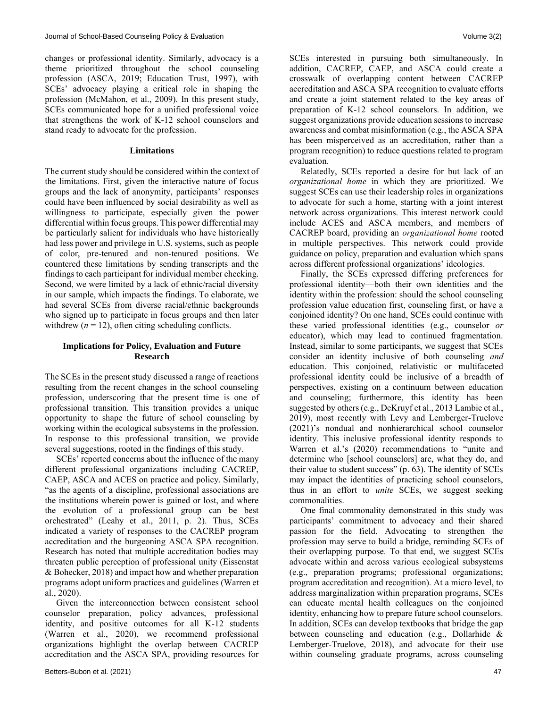changes or professional identity. Similarly, advocacy is a theme prioritized throughout the school counseling profession (ASCA, 2019; Education Trust, 1997), with SCEs' advocacy playing a critical role in shaping the profession (McMahon, et al., 2009). In this present study, SCEs communicated hope for a unified professional voice that strengthens the work of K-12 school counselors and stand ready to advocate for the profession.

#### **Limitations**

The current study should be considered within the context of the limitations. First, given the interactive nature of focus groups and the lack of anonymity, participants' responses could have been influenced by social desirability as well as willingness to participate, especially given the power differential within focus groups. This power differential may be particularly salient for individuals who have historically had less power and privilege in U.S. systems, such as people of color, pre-tenured and non-tenured positions. We countered these limitations by sending transcripts and the findings to each participant for individual member checking. Second, we were limited by a lack of ethnic/racial diversity in our sample, which impacts the findings. To elaborate, we had several SCEs from diverse racial/ethnic backgrounds who signed up to participate in focus groups and then later withdrew  $(n = 12)$ , often citing scheduling conflicts.

# **Implications for Policy, Evaluation and Future Research**

The SCEs in the present study discussed a range of reactions resulting from the recent changes in the school counseling profession, underscoring that the present time is one of professional transition. This transition provides a unique opportunity to shape the future of school counseling by working within the ecological subsystems in the profession. In response to this professional transition, we provide several suggestions, rooted in the findings of this study.

 SCEs' reported concerns about the influence of the many different professional organizations including CACREP, CAEP, ASCA and ACES on practice and policy. Similarly, "as the agents of a discipline, professional associations are the institutions wherein power is gained or lost, and where the evolution of a professional group can be best orchestrated" (Leahy et al., 2011, p. 2). Thus, SCEs indicated a variety of responses to the CACREP program accreditation and the burgeoning ASCA SPA recognition. Research has noted that multiple accreditation bodies may threaten public perception of professional unity (Eissenstat & Bohecker, 2018) and impact how and whether preparation programs adopt uniform practices and guidelines (Warren et al., 2020).

 Given the interconnection between consistent school counselor preparation, policy advances, professional identity, and positive outcomes for all K-12 students (Warren et al., 2020), we recommend professional organizations highlight the overlap between CACREP accreditation and the ASCA SPA, providing resources for SCEs interested in pursuing both simultaneously. In addition, CACREP, CAEP, and ASCA could create a crosswalk of overlapping content between CACREP accreditation and ASCA SPA recognition to evaluate efforts and create a joint statement related to the key areas of preparation of K-12 school counselors. In addition, we suggest organizations provide education sessions to increase awareness and combat misinformation (e.g., the ASCA SPA has been misperceived as an accreditation, rather than a program recognition) to reduce questions related to program evaluation.

 Relatedly, SCEs reported a desire for but lack of an *organizational home* in which they are prioritized. We suggest SCEs can use their leadership roles in organizations to advocate for such a home, starting with a joint interest network across organizations. This interest network could include ACES and ASCA members, and members of CACREP board, providing an *organizational home* rooted in multiple perspectives. This network could provide guidance on policy, preparation and evaluation which spans across different professional organizations' ideologies.

 Finally, the SCEs expressed differing preferences for professional identity—both their own identities and the identity within the profession: should the school counseling profession value education first, counseling first, or have a conjoined identity? On one hand, SCEs could continue with these varied professional identities (e.g., counselor *or* educator), which may lead to continued fragmentation. Instead, similar to some participants, we suggest that SCEs consider an identity inclusive of both counseling *and* education. This conjoined, relativistic or multifaceted professional identity could be inclusive of a breadth of perspectives, existing on a continuum between education and counseling; furthermore, this identity has been suggested by others (e.g., DeKruyf et al., 2013 Lambie et al., 2019), most recently with Levy and Lemberger-Truelove (2021)'s nondual and nonhierarchical school counselor identity. This inclusive professional identity responds to Warren et al.'s (2020) recommendations to "unite and determine who [school counselors] are, what they do, and their value to student success" (p. 63). The identity of SCEs may impact the identities of practicing school counselors, thus in an effort to *unite* SCEs, we suggest seeking commonalities.

 One final commonality demonstrated in this study was participants' commitment to advocacy and their shared passion for the field. Advocating to strengthen the profession may serve to build a bridge, reminding SCEs of their overlapping purpose. To that end, we suggest SCEs advocate within and across various ecological subsystems (e.g., preparation programs; professional organizations; program accreditation and recognition). At a micro level, to address marginalization within preparation programs, SCEs can educate mental health colleagues on the conjoined identity, enhancing how to prepare future school counselors. In addition, SCEs can develop textbooks that bridge the gap between counseling and education (e.g., Dollarhide & Lemberger-Truelove, 2018), and advocate for their use within counseling graduate programs, across counseling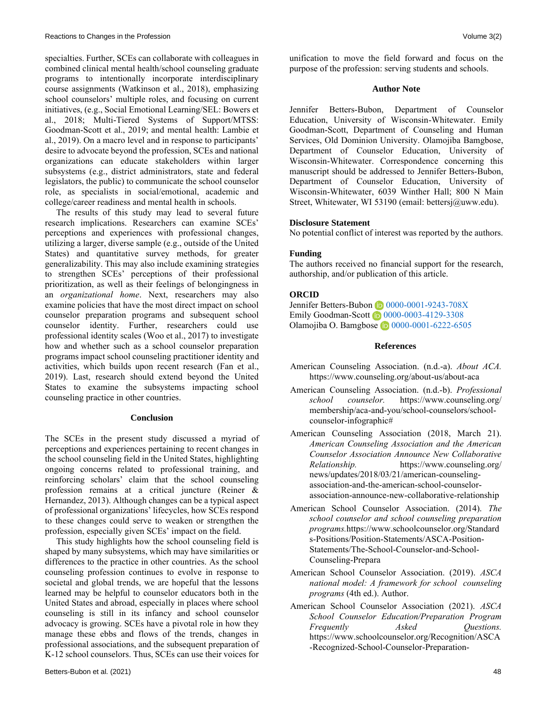specialties. Further, SCEs can collaborate with colleagues in combined clinical mental health/school counseling graduate programs to intentionally incorporate interdisciplinary course assignments (Watkinson et al., 2018), emphasizing school counselors' multiple roles, and focusing on current initiatives, (e.g., Social Emotional Learning/SEL: Bowers et al., 2018; Multi-Tiered Systems of Support/MTSS: Goodman-Scott et al., 2019; and mental health: Lambie et al., 2019). On a macro level and in response to participants' desire to advocate beyond the profession, SCEs and national organizations can educate stakeholders within larger subsystems (e.g., district administrators, state and federal legislators, the public) to communicate the school counselor role, as specialists in social/emotional, academic and college/career readiness and mental health in schools.

 The results of this study may lead to several future research implications. Researchers can examine SCEs' perceptions and experiences with professional changes, utilizing a larger, diverse sample (e.g., outside of the United States) and quantitative survey methods, for greater generalizability. This may also include examining strategies to strengthen SCEs' perceptions of their professional prioritization, as well as their feelings of belongingness in an *organizational home*. Next, researchers may also examine policies that have the most direct impact on school counselor preparation programs and subsequent school counselor identity. Further, researchers could use professional identity scales (Woo et al., 2017) to investigate how and whether such as a school counselor preparation programs impact school counseling practitioner identity and activities, which builds upon recent research (Fan et al., 2019). Last, research should extend beyond the United States to examine the subsystems impacting school counseling practice in other countries.

#### **Conclusion**

The SCEs in the present study discussed a myriad of perceptions and experiences pertaining to recent changes in the school counseling field in the United States, highlighting ongoing concerns related to professional training, and reinforcing scholars' claim that the school counseling profession remains at a critical juncture (Reiner & Hernandez, 2013). Although changes can be a typical aspect of professional organizations' lifecycles, how SCEs respond to these changes could serve to weaken or strengthen the profession, especially given SCEs' impact on the field.

 This study highlights how the school counseling field is shaped by many subsystems, which may have similarities or differences to the practice in other countries. As the school counseling profession continues to evolve in response to societal and global trends, we are hopeful that the lessons learned may be helpful to counselor educators both in the United States and abroad, especially in places where school counseling is still in its infancy and school counselor advocacy is growing. SCEs have a pivotal role in how they manage these ebbs and flows of the trends, changes in professional associations, and the subsequent preparation of K-12 school counselors. Thus, SCEs can use their voices for unification to move the field forward and focus on the purpose of the profession: serving students and schools.

### **Author Note**

Jennifer Betters-Bubon, Department of Counselor Education, University of Wisconsin-Whitewater. Emily Goodman-Scott, Department of Counseling and Human Services, Old Dominion University. Olamojiba Bamgbose, Department of Counselor Education, University of Wisconsin-Whitewater. Correspondence concerning this manuscript should be addressed to Jennifer Betters-Bubon, Department of Counselor Education, University of Wisconsin-Whitewater, 6039 Winther Hall; 800 N Main Street, Whitewater, WI 53190 (email: [bettersj@uww.edu\)](mailto:bettersj@uww.edu).

#### **Disclosure Statement**

No potential conflict of interest was reported by the authors.

#### **Funding**

The authors received no financial support for the research, authorship, and/or publication of this article.

### **ORCID**

Jennifer Betters-Bubon 10 [0000-0001-9243-708X](https://orcid.org/0000-0001-9243-708X) Emily Goodman-Scott <sup>1</sup> 0000-0003-4129-3308 Olamojiba O. Bamgbose 1 [0000-0001-6222-6505](https://orcid.org/0000-0001-6222-6505)

#### **References**

- American Counseling Association. (n.d.-a). *About ACA.* <https://www.counseling.org/about-us/about-aca>
- American Counseling Association. (n.d.-b). *Professional school counselor.* [https://www.counseling.org/](https://www.counseling.org/%20membership/aca-and-you/school-counselors/school-counselor-infographic)  [membership/aca-and-you/school-counselors/school](https://www.counseling.org/%20membership/aca-and-you/school-counselors/school-counselor-infographic)[counselor-infographic#](https://www.counseling.org/%20membership/aca-and-you/school-counselors/school-counselor-infographic)
- American Counseling Association (2018, March 21). *American Counseling Association and the American Counselor Association Announce New Collaborative Relationship.* [https://www.counseling.org/](https://www.counseling.org/%20news/updates/2018/03/21/american-counseling-association-and-the-american-school-counselor-association-announce-new-collaborative-relationship)  [news/updates/2018/03/21/american-counseling](https://www.counseling.org/%20news/updates/2018/03/21/american-counseling-association-and-the-american-school-counselor-association-announce-new-collaborative-relationship)[association-and-the-american-school-counselor](https://www.counseling.org/%20news/updates/2018/03/21/american-counseling-association-and-the-american-school-counselor-association-announce-new-collaborative-relationship)[association-announce-new-collaborative-relationship](https://www.counseling.org/%20news/updates/2018/03/21/american-counseling-association-and-the-american-school-counselor-association-announce-new-collaborative-relationship)
- American School Counselor Association. (2014). *The school counselor and school counseling preparation programs.*[https://www.schoolcounselor.org/Standard](https://www.schoolcounselor.org/Standards-Positions/Position-Statements/ASCA-Position-Statements/The-School-Counselor-and-School-Counseling-Prepara) [s-Positions/Position-Statements/ASCA-Position-](https://www.schoolcounselor.org/Standards-Positions/Position-Statements/ASCA-Position-Statements/The-School-Counselor-and-School-Counseling-Prepara)[Statements/The-School-Counselor-and-School-](https://www.schoolcounselor.org/Standards-Positions/Position-Statements/ASCA-Position-Statements/The-School-Counselor-and-School-Counseling-Prepara)[Counseling-Prepara](https://www.schoolcounselor.org/Standards-Positions/Position-Statements/ASCA-Position-Statements/The-School-Counselor-and-School-Counseling-Prepara)
- American School Counselor Association. (2019). *ASCA national model: A framework for school counseling programs* (4th ed.). Author.
- American School Counselor Association (2021). *ASCA School Counselor Education/Preparation Program Frequently Asked Questions.*  [https://www.schoolcounselor.org/Recognition/ASCA](https://www.schoolcounselor.org/Recognition/ASCA-Recognized-School-Counselor-Preparation-Progr/School-Counselor-Preparation-Program-Standards-FAQ) [-Recognized-School-Counselor-Preparation-](https://www.schoolcounselor.org/Recognition/ASCA-Recognized-School-Counselor-Preparation-Progr/School-Counselor-Preparation-Program-Standards-FAQ)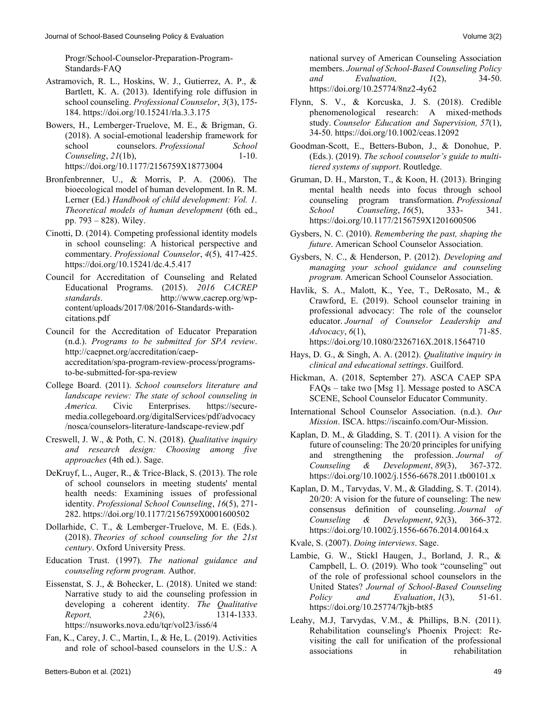- Astramovich, R. L., Hoskins, W. J., Gutierrez, A. P., & Bartlett, K. A. (2013). Identifying role diffusion in school counseling. *Professional Counselor*, *3*(3), 175- 184.<https://doi.org/10.15241/rla.3.3.175>
- Bowers, H., Lemberger-Truelove, M. E., & Brigman, G. (2018). A social-emotional leadership framework for school counselors. *Professional School Counseling*, *21*(1b), 1-10. <https://doi.org/10.1177/2156759X18773004>
- Bronfenbrenner, U., & Morris, P. A. (2006). The bioecological model of human development. In R. M. Lerner (Ed.) *Handbook of child development: Vol. 1. Theoretical models of human development* (6th ed., pp. 793 – 828). Wiley.
- Cinotti, D. (2014). Competing professional identity models in school counseling: A historical perspective and commentary. *Professional Counselor*, *4*(5), 417-425. <https://doi.org/10.15241/dc.4.5.417>
- Council for Accreditation of Counseling and Related Educational Programs. (2015). *2016 CACREP standards*. [http://www.cacrep.org/wp](http://www.cacrep.org/wp-content/uploads/2017/08/2016-Standards-with-citations.pdf)[content/uploads/2017/08/2016-Standards-with](http://www.cacrep.org/wp-content/uploads/2017/08/2016-Standards-with-citations.pdf)[citations.pdf](http://www.cacrep.org/wp-content/uploads/2017/08/2016-Standards-with-citations.pdf)
- Council for the Accreditation of Educator Preparation (n.d.). *Programs to be submitted for SPA review*. [http://caepnet.org/accreditation/caep](http://caepnet.org/accreditation/caep-accreditation/spa-program-review-process/programs-to-be-submitted-for-spa-review)[accreditation/spa-program-review-process/programs](http://caepnet.org/accreditation/caep-accreditation/spa-program-review-process/programs-to-be-submitted-for-spa-review)[to-be-submitted-for-spa-review](http://caepnet.org/accreditation/caep-accreditation/spa-program-review-process/programs-to-be-submitted-for-spa-review)
- College Board. (2011). *School counselors literature and landscape review: The state of school counseling in America.* Civic Enterprises. [https://secure](https://secure-media.collegeboard.org/digitalServices/pdf/advocacy/nosca/counselors-literature-landscape-review.pdf)[media.collegeboard.org/digitalServices/pdf/advocacy](https://secure-media.collegeboard.org/digitalServices/pdf/advocacy/nosca/counselors-literature-landscape-review.pdf) [/nosca/counselors-literature-landscape-review.pdf](https://secure-media.collegeboard.org/digitalServices/pdf/advocacy/nosca/counselors-literature-landscape-review.pdf)
- Creswell, J. W., & Poth, C. N. (2018). *Qualitative inquiry and research design: Choosing among five approaches* (4th ed.). Sage.
- DeKruyf, L., Auger, R., & Trice-Black, S. (2013). The role of school counselors in meeting students' mental health needs: Examining issues of professional identity. *Professional School Counseling*, *16*(5), 271- 282.<https://doi.org/10.1177/2156759X0001600502>
- Dollarhide, C. T., & Lemberger-Truelove, M. E. (Eds.). (2018). *Theories of school counseling for the 21st century*. Oxford University Press.
- Education Trust. (1997). *The national guidance and counseling reform program.* Author.
- Eissenstat, S. J., & Bohecker, L. (2018). United we stand: Narrative study to aid the counseling profession in developing a coherent identity. *The Qualitative Report,* 23(6), 1314-1333. <https://nsuworks.nova.edu/tqr/vol23/iss6/4>
- Fan, K., Carey, J. C., Martin, I., & He, L. (2019). Activities and role of school-based counselors in the U.S.: A
- Flynn, S. V., & Korcuska, J. S. (2018). Credible phenomenological research: A mixed‐methods study. *Counselor Education and Supervision, 57*(1), 34-50.<https://doi.org/10.1002/ceas.12092>
- Goodman-Scott, E., Betters-Bubon, J., & Donohue, P. (Eds.). (2019). *The school counselor's guide to multitiered systems of support*. Routledge.
- Gruman, D. H., Marston, T., & Koon, H. (2013). Bringing mental health needs into focus through school counseling program transformation. *Professional School Counseling*, *16*(5), 333- 341. <https://doi.org/10.1177/2156759X1201600506>
- Gysbers, N. C. (2010). *Remembering the past, shaping the future*. American School Counselor Association.
- Gysbers, N. C., & Henderson, P. (2012). *Developing and managing your school guidance and counseling program.* American School Counselor Association.
- Havlik, S. A., Malott, K., Yee, T., DeRosato, M., & Crawford, E. (2019). School counselor training in professional advocacy: The role of the counselor educator. *Journal of Counselor Leadership and Advocacy*, *6*(1), 71-85. <https://doi.org/10.1080/2326716X.2018.1564710>
- Hays, D. G., & Singh, A. A. (2012). *Qualitative inquiry in clinical and educational settings*. Guilford.
- Hickman, A. (2018, September 27). ASCA CAEP SPA FAQs – take two [Msg 1]. Message posted to ASCA SCENE, School Counselor Educator Community.
- International School Counselor Association. (n.d.). *Our Mission*. ISCA. https://iscainfo.com/Our-Mission.
- Kaplan, D. M., & Gladding, S. T. (2011). A vision for the future of counseling: The 20/20 principles for unifying and strengthening the profession. *Journal of Counseling & Development*, *89*(3), 367-372. <https://doi.org/10.1002/j.1556-6678.2011.tb00101.x>
- Kaplan, D. M., Tarvydas, V. M., & Gladding, S. T. (2014). 20/20: A vision for the future of counseling: The new consensus definition of counseling. *Journal of Counseling & Development*, *92*(3), 366-372. <https://doi.org/10.1002/j.1556-6676.2014.00164.x>
- Kvale, S. (2007). *Doing interviews*. Sage.
- Lambie, G. W., Stickl Haugen, J., Borland, J. R., & Campbell, L. O. (2019). Who took "counseling" out of the role of professional school counselors in the United States? *Journal of School-Based Counseling Policy* and *Evaluation*, *1*(3), 51-61. <https://doi.org/10.25774/7kjb-bt85>
- Leahy, M.J, Tarvydas, V.M., & Phillips, B.N. (2011). Rehabilitation counseling's Phoenix Project: Revisiting the call for unification of the professional associations in rehabilitation